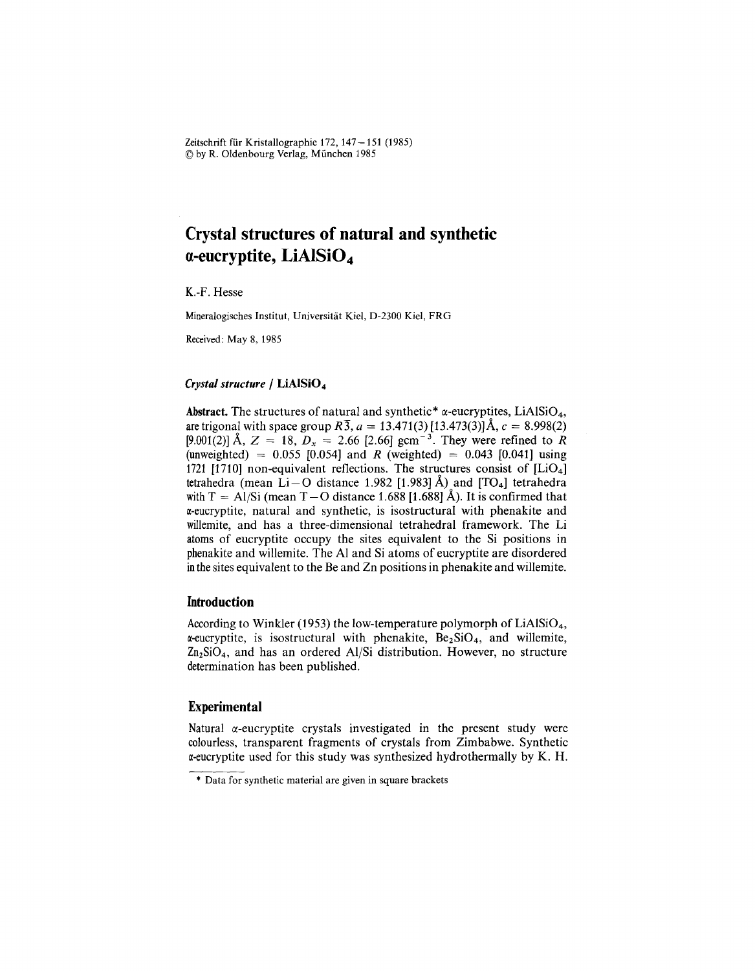Zeitschrift für Kristallographie 172, 147 - 151 (1985) @ by R. Oldenbourg Verlag, Miinchen 1985

# **Crystal structures of natural and synthetic a-eucryptite,LiAISiO<sup>4</sup>**

K.-F. Hesse

Mineralogisches Institut, Universität Kiel, D-2300 Kiel, FRG

Received: May 8, 1985

### *Crystal structure* / LiAlSiO<sub>4</sub>

Abstract. The structures of natural and synthetic<sup>\*</sup>  $\alpha$ -eucryptites, LiAlSiO<sub>4</sub>, are trigonal with space group  $R_3$ ,  $a = 13.471(3)$  [13.473(3)] Å,  $c = 8.998(2)$ [9.001(2)] Å,  $Z = 18$ ,  $D_x = 2.66$  [2.66] gcm<sup>-3</sup>. They were refined to  $R$ (unweighted) =  $0.055$  [0.054] and *R* (weighted) = 0.043 [0.041] using 1721 [1710] non-equivalent reflections. The structures consist of  $[LiO<sub>4</sub>]$ tetrahedra (mean Li – O distance 1.982 [1.983] Å) and  $[TO<sub>4</sub>]$  tetrahedra with  $T = A1/Si$  (mean T – O distance 1.688 [1.688] Å). It is confirmed that *x***-eucryptite**, natural and synthetic, is isostructural with phenakite and willemite, and has a three-dimensional tetrahedral framework. The Li atoms of eucryptite occupy the sites equivalent to the Si positions in phenakite and willemite. The Al and Si atoms of eucryptite are disordered inthe sites equivalent to the Be and Zn positions in phenakite and willemite.

### **Introduction**

According to Winkler (1953) the low-temperature polymorph of  $LiAlSiO<sub>4</sub>$ ,  $\alpha$ -eucryptite, is isostructural with phenakite,  $Be_2SiO_4$ , and willemite,  $Zn_2SiO_4$ , and has an ordered Al/Si distribution. However, no structure determination has been published.

### **Experimental**

Natural  $\alpha$ -eucryptite crystals investigated in the present study were colourless, transparent fragments of crystals from Zimbabwe. Synthetic  $\alpha$ -eucryptite used for this study was synthesized hydrothermally by K. H.

<sup>\*</sup> Data for synthetic material are given in square brackets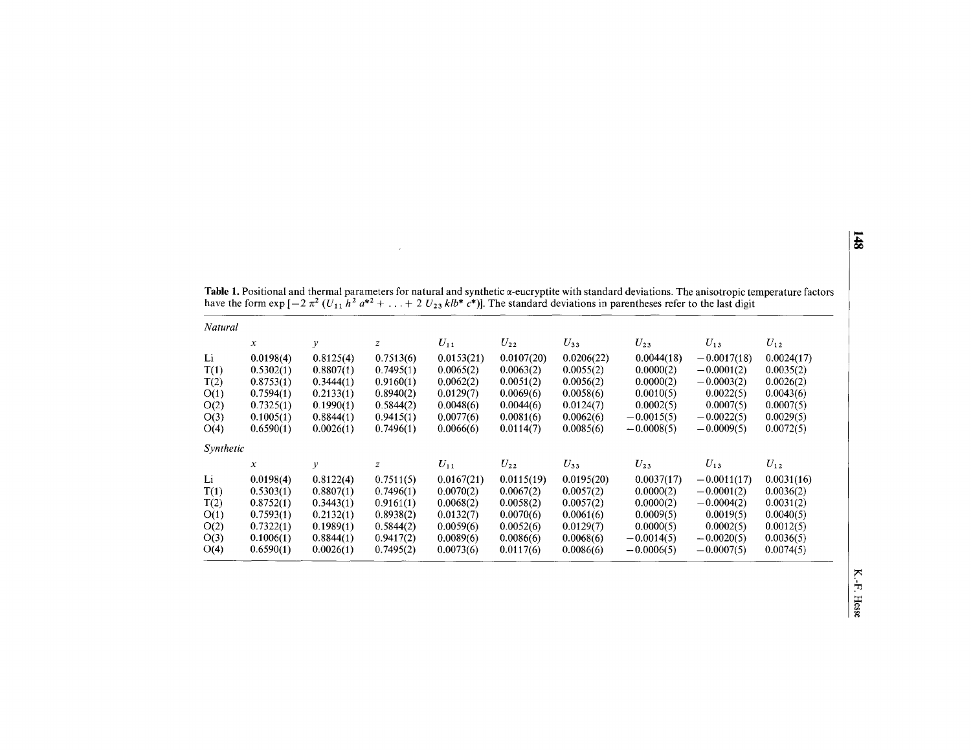| Natural   |           |               |              |            |            |            |              |               |            |
|-----------|-----------|---------------|--------------|------------|------------|------------|--------------|---------------|------------|
|           | х         | $\mathcal{Y}$ | z            | $U_{11}$   | $U_{22}$   | $U_{33}$   | $U_{23}$     | $U_{13}$      | $U_{12}$   |
| Li        | 0.0198(4) | 0.8125(4)     | 0.7513(6)    | 0.0153(21) | 0.0107(20) | 0.0206(22) | 0.0044(18)   | $-0.0017(18)$ | 0.0024(17) |
| T(1)      | 0.5302(1) | 0.8807(1)     | 0.7495(1)    | 0.0065(2)  | 0.0063(2)  | 0.0055(2)  | 0.0000(2)    | $-0.0001(2)$  | 0.0035(2)  |
| T(2)      | 0.8753(1) | 0.3444(1)     | 0.9160(1)    | 0.0062(2)  | 0.0051(2)  | 0.0056(2)  | 0.0000(2)    | $-0.0003(2)$  | 0.0026(2)  |
| O(1)      | 0.7594(1) | 0.2133(1)     | 0.8940(2)    | 0.0129(7)  | 0.0069(6)  | 0.0058(6)  | 0.0010(5)    | 0.0022(5)     | 0.0043(6)  |
| O(2)      | 0.7325(1) | 0.1990(1)     | 0.5844(2)    | 0.0048(6)  | 0.0044(6)  | 0.0124(7)  | 0.0002(5)    | 0.0007(5)     | 0.0007(5)  |
| O(3)      | 0.1005(1) | 0.8844(1)     | 0.9415(1)    | 0.0077(6)  | 0.0081(6)  | 0.0062(6)  | $-0.0015(5)$ | $-0.0022(5)$  | 0.0029(5)  |
| O(4)      | 0.6590(1) | 0.0026(1)     | 0.7496(1)    | 0.0066(6)  | 0.0114(7)  | 0.0085(6)  | $-0.0008(5)$ | $-0.0009(5)$  | 0.0072(5)  |
| Synthetic |           |               |              |            |            |            |              |               |            |
|           | x         | у             | $\mathbb{Z}$ | $U_{11}$   | $U_{22}$   | $U_{33}$   | $U_{23}$     | $U_{13}$      | $U_{12}$   |
| Li        | 0.0198(4) | 0.8122(4)     | 0.7511(5)    | 0.0167(21) | 0.0115(19) | 0.0195(20) | 0.0037(17)   | $-0.0011(17)$ | 0.0031(16) |
| T(1)      | 0.5303(1) | 0.8807(1)     | 0.7496(1)    | 0.0070(2)  | 0.0067(2)  | 0.0057(2)  | 0.0000(2)    | $-0.0001(2)$  | 0.0036(2)  |
| T(2)      | 0.8752(1) | 0.3443(1)     | 0.9161(1)    | 0.0068(2)  | 0.0058(2)  | 0.0057(2)  | 0.0000(2)    | $-0.0004(2)$  | 0.0031(2)  |
| O(1)      | 0.7593(1) | 0.2132(1)     | 0.8938(2)    | 0.0132(7)  | 0.0070(6)  | 0.0061(6)  | 0.0009(5)    | 0.0019(5)     | 0.0040(5)  |
| O(2)      | 0.7322(1) | 0.1989(1)     | 0.5844(2)    | 0.0059(6)  | 0.0052(6)  | 0.0129(7)  | 0.0000(5)    | 0.0002(5)     | 0.0012(5)  |
| O(3)      | 0.1006(1) | 0.8844(1)     | 0.9417(2)    | 0.0089(6)  | 0.0086(6)  | 0.0068(6)  | $-0.0014(5)$ | $-0.0020(5)$  | 0.0036(5)  |
| O(4)      | 0.6590(1) | 0.0026(1)     | 0.7495(2)    | 0.0073(6)  | 0.0117(6)  | 0.0086(6)  | $-0.0006(5)$ | $-0.0007(5)$  | 0.0074(5)  |

**Table 1.** Positional and thermal parameters for natural and synthetic  $\alpha$ -eucryptite with standard deviations. The anisotropic temperature factor have the form  $\exp[-2\pi^2 (U_{11} h^2 a^{*2} + ... + 2 U_{23} k l b^* c^*)]$ . The standard deviations in parentheses refer to the last digi

 $\mathcal{A}^{\pm}$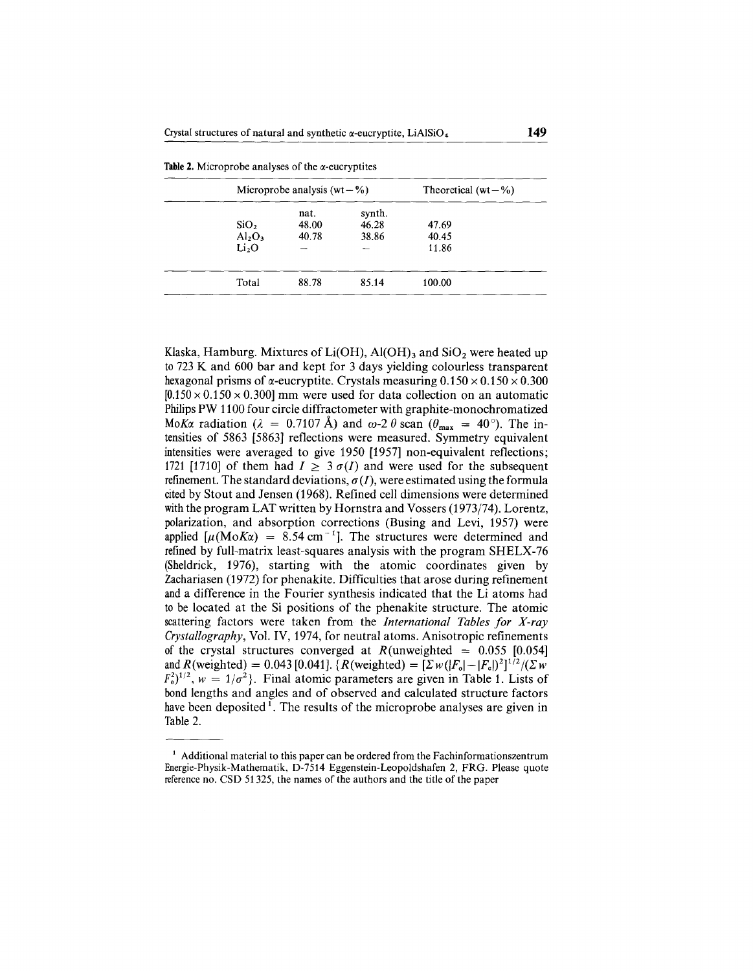|                                | Microprobe analysis (wt $-$ %) | Theoretical (wt $-\%$ ) |        |  |
|--------------------------------|--------------------------------|-------------------------|--------|--|
|                                | nat.                           | synth.                  |        |  |
| SiO <sub>2</sub>               | 48.00                          | 46.28                   | 47.69  |  |
| Al <sub>2</sub> O <sub>3</sub> | 40.78                          | 38.86                   | 40.45  |  |
| Li <sub>2</sub> O              |                                |                         | 11.86  |  |
| Total                          | 88.78                          | 85.14                   | 100.00 |  |

|  |  |  |  | <b>Table 2.</b> Microprobe analyses of the $\alpha$ -eucryptites |
|--|--|--|--|------------------------------------------------------------------|
|--|--|--|--|------------------------------------------------------------------|

Klaska, Hamburg. Mixtures of Li(OH), Al(OH)<sub>3</sub> and SiO<sub>2</sub> were heated up to 723 K and 600 bar and kept for 3 days yielding colourless transparent hexagonal prisms of  $\alpha$ -eucryptite. Crystals measuring  $0.150 \times 0.150 \times 0.300$  $[0.150 \times 0.150 \times 0.300]$  mm were used for data collection on an automatic Philips PW 1100 four circle diffractometer with graphite-monochromatized *MoKa* radiation ( $\lambda = 0.7107 \text{ Å}$ ) and  $\omega$ -2  $\theta$  scan ( $\theta_{\text{max}} = 40^{\circ}$ ). The intensities of 5863 [5863] reflections were measured. Symmetry equivalent intensities were averaged to give 1950 [1957] non-equivalent reflections; 1721 [1710] of them had  $I \geq 3 \sigma(I)$  and were used for the subsequent refinement. The standard deviations,  $\sigma(I)$ , were estimated using the formula cited by Stout and Jensen (1968). Refined cell dimensions were determined with the program LAT written by Hornstra and Vossers  $(1973/74)$ . Lorentz, polarization, and absorption corrections (Busing and Levi, 1957) were applied  $\mu(M \circ K\alpha) = 8.54 \text{ cm}^{-1}$ . The structures were determined and refined by full-matrix least-squares analysis with the program SHELX-76 (Sheldrick, 1976), starting with the atomic coordinates given by Zachariasen (1972) for phenakite. Difficulties that arose during refinement and a difference in the Fourier synthesis indicated that the Li atoms had to be located at the Si positions of the phenakite structure. The atomic scattering factors were taken from the *International Tables for X-ray Crystallography,* Vol. IV, 1974, for neutral atoms. Anisotropic refinements of the crystal structures converged at  $R$ (unweighted = 0.055 [0.054] and R(weighted) = 0.043 [0.041]. { $R$ (weighted) =  $[\Sigma w(|F_o|-|F_e|)^2]^{1/2}/(\Sigma w)$  $F_o^2$ <sup>1/2</sup>,  $w = 1/\sigma^2$ . Final atomic parameters are given in Table 1. Lists of bond lengths and angles and of observed and calculated structure factors have been deposited<sup>1</sup>. The results of the microprobe analyses are given in Table 2.

 $<sup>1</sup>$  Additional material to this paper can be ordered from the Fachinformationszentrum</sup> Energie-Physik-Mathematik, D-7514 Eggenstein-Leopoldshafen 2, FRG. Please quote reference no. CSD 51325, the names of the authors and the title of the paper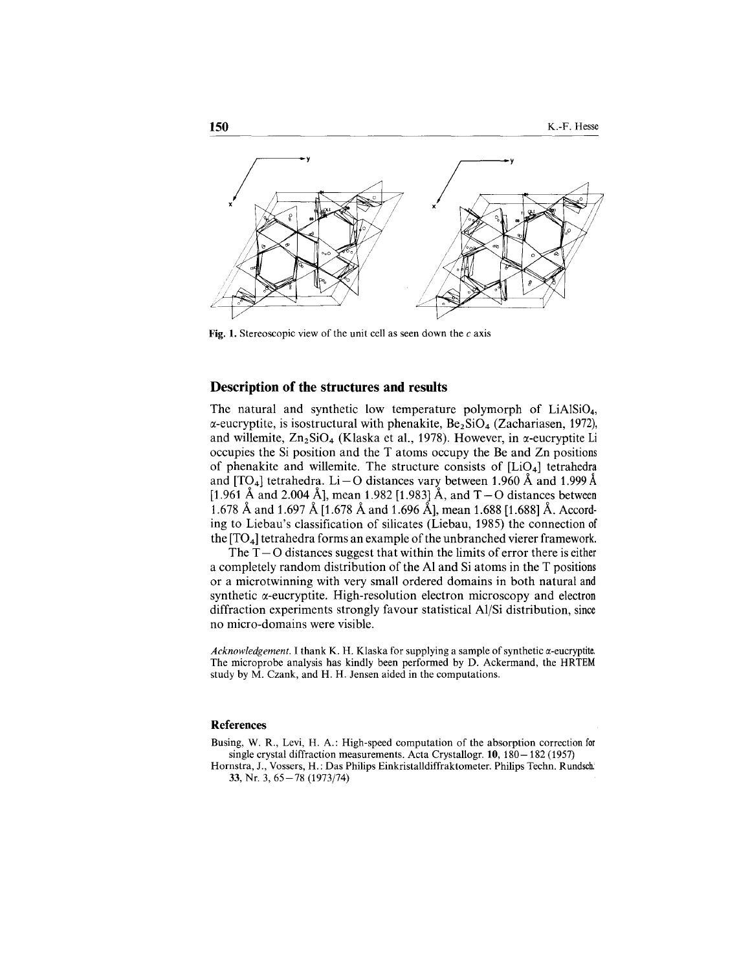

Fig. 1. Stereoscopic view of the unit cell as seen down the  $c$  axis

### **Description of the structures and results**

The natural and synthetic low temperature polymorph of LiAISi04,  $\alpha$ -eucryptite, is isostructural with phenakite,  $Be_2SiO_4$  (Zachariasen, 1972), and willemite,  $Zn_2SiO_4$  (Klaska et al., 1978). However, in  $\alpha$ -eucryptite Li occupies the Si position and the T atoms occupy the Be and Zn positions of phenakite and willemite. The structure consists of  $[LiO<sub>4</sub>]$  tetrahedra and [TO<sub>4</sub>] tetrahedra. Li – O distances vary between 1.960 Å and 1.999 Å [1.961 Å and 2.004 Å], mean 1.982 [1.983] Å, and  $T - O$  distances between 1.678 Aand 1.697 A[1.678 Aand 1.696 A], mean 1.688 [1.688] A. According to Liebau's classification of silicates (Liebau, 1985) the connection of the  $[TO_4]$  tetrahedra forms an example of the unbranched vierer framework.

The  $T - O$  distances suggest that within the limits of error there is either a completely random distribution of the Al and Si atoms in the T positions or a microtwinning with very small ordered domains in both natural and synthetic  $\alpha$ -eucryptite. High-resolution electron microscopy and electron diffraction experiments strongly favour statistical AI/Si distribution, since no micro-domains were visible.

*Acknowledgement.* I thank K. H. Klaska for supplying a sample of synthetic  $\alpha$ -eucryptite. The microprobe analysis has kindly been performed by D. Ackermand, the HRTEM study by M. Czank, and H. H. Jensen aided in the computations.

### **References**

Busing, W. R., Levi, H. A.: High-speed computation of the absorption correction for single crystal diffraction measurements. Acta Crystallogr. **10,** 180-182 (1957)

Hornstra, J., Vossers, H.: Das Philips Einkristalldiffraktometer. Philips Techn. Rundsch 33, Nr. 3,65-78 (1973/74)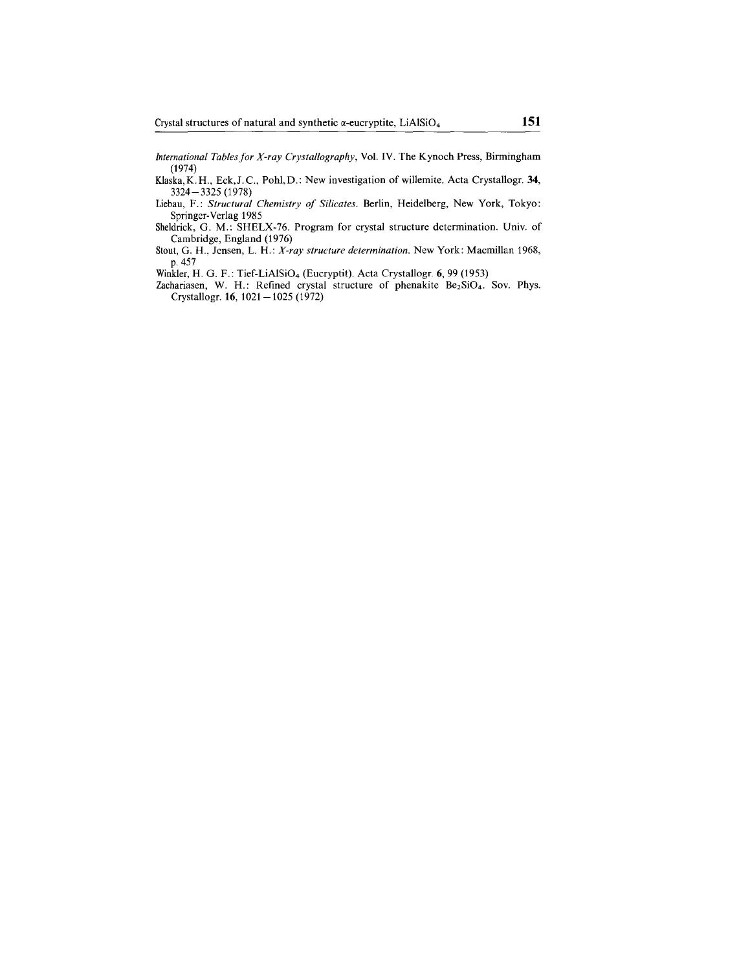*International Tablesfor X-ray Crystallography,* Vol. IV. The Kynoch Press, Birmingham (1974)

Klaska, K.H., Eck, J.C., Pohl, D.: New investigation of willemite. Acta Crystallogr. 34, 3324- 3325 (1978)

Liebau, F.: *Structural Chemistry of Silicates.* Berlin, Heidelberg, New York, Tokyo: Springer-Verlag 1985

Sheldrick, G. M.: SHELX-76. Program for crystal structure determination. Univ. of Cambridge, England (1976)

Stout, G. H., Jensen, L. H.: *X-ray structure determination.* New York: Macmillan 1968, p.457

Winkler, H. G. F.: Tief-LiAISi04 (Eucryptit). Acta Crystallogr. **6,** 99 (1953)

Zachariasen, W. H.: Refined crystal structure of phenakite Be<sub>2</sub>SiO<sub>4</sub>. Sov. Phys. Crystallogr. **16,** 1021-1025 (1972)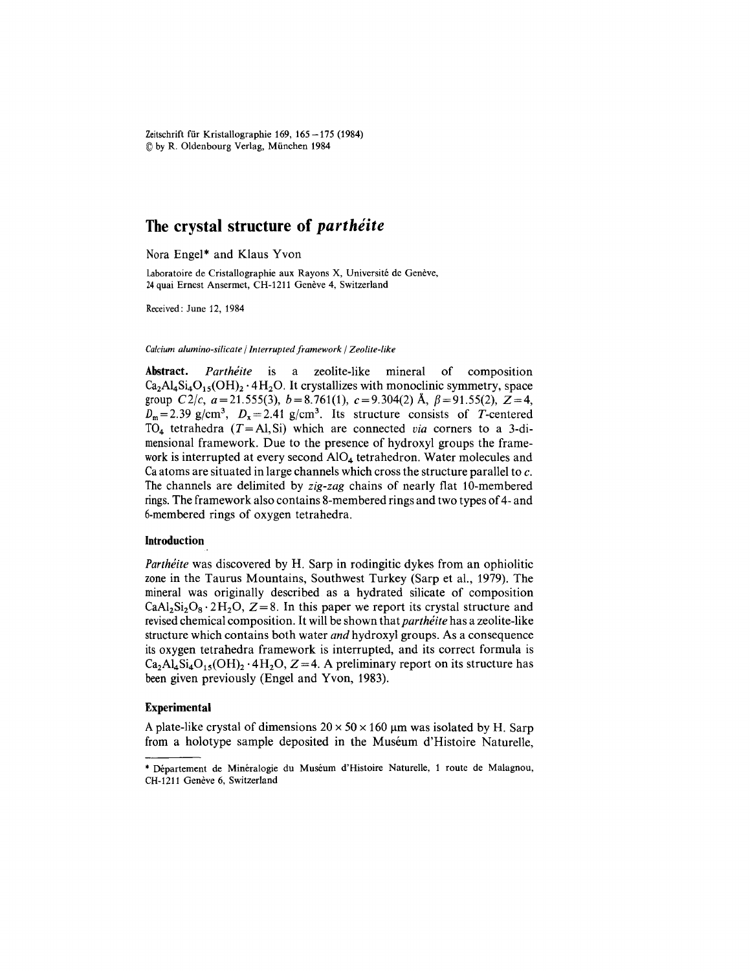Zeitschrift für Kristallographie 169,  $165 - 175$  (1984) (Qby R. Oldenbourg Verlag, Miinchen 1984

## **The crystal structure of** *parthéite*

Nora Engel\* and Klaus Yvon

Laboratoire de Cristallographie aux Rayons X, Université de Genève, 24 quai Ernest Ansermet, CH-1211 Genève 4, Switzerland

Received: June 12, 1984

#### *Calcium alumino-silicate I Interrupted framework I Zeolite-like*

**Abstract.** *Partheite* is a zeolite-like mineral of composition  $Ca_2Al_4Si_4O_{15}(OH)_2 \cdot 4H_2O$ . It crystallizes with monoclinic symmetry, space group *C*2/*c*, *a*=21.555(3), *b*=8.761(1), *c*=9.304(2) Å,  $\beta$ =91.55(2),  $\overline{Z}$ =4,  $D_m$ =2.39 *g/cm<sup>3</sup>*,  $D_x$ =2.41 *g/cm<sup>3</sup>*. Its structure consists of *T*-centered TO<sub>4</sub> tetrahedra  $(T = A)$ , Si) which are connected *via* corners to a 3-dimensional framework. Due to the presence of hydroxyl groups the framework is interrupted at every second  $AIO<sub>4</sub>$  tetrahedron. Water molecules and Caatoms are situated in large channels which cross the structure parallel to  $c$ . The channels are delimited by *zig-zag* chains of nearly flat 10-membered rings.The framework also contains 8-membered rings and two types of 4- and 6-membered rings of oxygen tetrahedra.

#### **Introduction**

*Parthéite* was discovered by H. Sarp in rodingitic dykes from an ophiolitic zone in the Taurus Mountains, Southwest Turkey (Sarp et aI., 1979). The mineral was originally described as a hydrated silicate of composition  $CaAl<sub>2</sub>Si<sub>2</sub>O<sub>8</sub> \cdot 2H<sub>2</sub>O$ ,  $Z = 8$ . In this paper we report its crystal structure and revised chemical composition. It will be shown that *parthete* has a zeolite-like structure which contains both water *and* hydroxyl groups. As a consequence its oxygen tetrahedra framework is interrupted, and its correct formula is  $Ca_2Al_2Si_4O_{15}(OH)$ ,  $4H_2O$ ,  $Z = 4$ . A preliminary report on its structure has been given previously (Engel and Yvon, 1983).

### **Experimental**

A plate-like crystal of dimensions  $20 \times 50 \times 160$  µm was isolated by H. Sarp from a holotype sample deposited in the Museum d'Histoire Naturelle,

<sup>·</sup> Departement de Mineralogie du Museum d'Histoire Naturelle, 1 route de Malagnou, CH-1211 Genève 6, Switzerland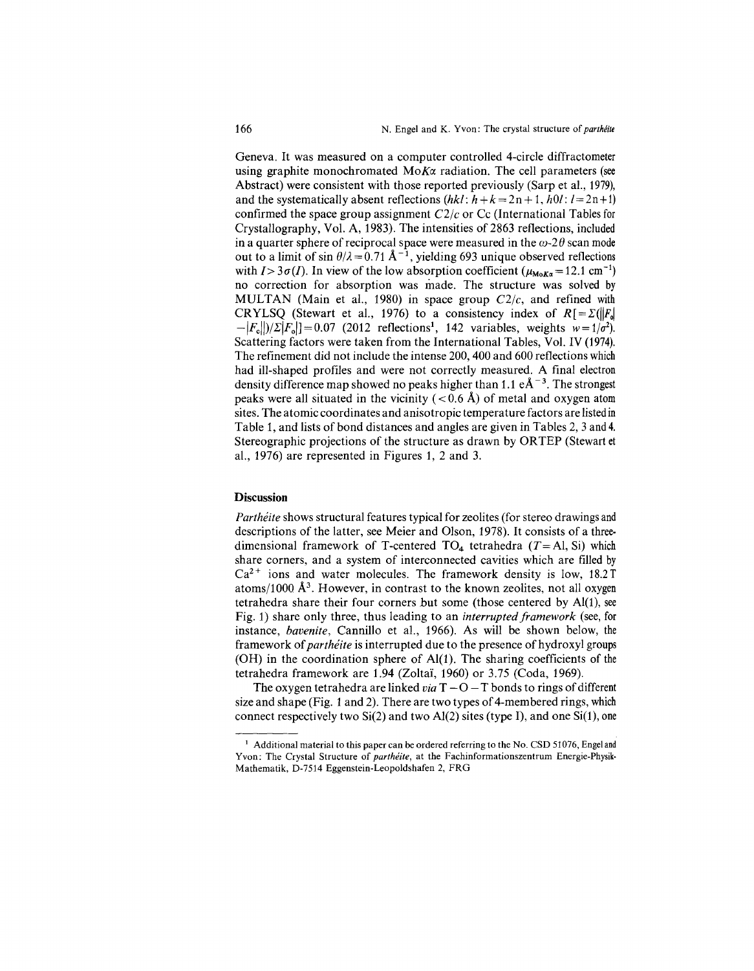Geneva. It was measured on a computer controlled 4-circle diffractometer using graphite monochromated  $M \circ K \alpha$  radiation. The cell parameters (see Abstract) were consistent with those reported previously (Sarp et aI., 1979), and the systematically absent reflections  $(hkl: h+k=2n+1, h0l: l=2n+1)$ confirmed the space group assignment *C2/c* or Cc (International Tables for Crystallography, Vol. A, 1983). The intensities of 2863 reflections, included in a quarter sphere of reciprocal space were measured in the  $\omega$ -2 $\theta$  scan mode out to a limit of sin  $\theta/\lambda = 0.71 \text{ Å}^{-1}$ , yielding 693 unique observed reflections with  $I > 3\sigma(I)$ . In view of the low absorption coefficient  $(\mu_{M_0K\alpha} = 12.1 \text{ cm}^{-1})$ no correction for absorption was made. The structure was solved by MULTAN (Main et aI., 1980) in space group *C2/c,* and refined with CRYLSQ (Stewart et al., 1976) to a consistency index of  $R[=\Sigma(\Vert F_{0}\Vert)^{2}]$  $-|F_{\rm s}|/|\Sigma|F_{\rm s}|=0.07$  (2012 reflections<sup>1</sup>, 142 variables, weights  $w=1/\sigma^2$ ). Scattering factors were taken from the International Tables, Vol. IV (1974). The refinement did not include the intense 200, 400 and 600 reflections which had ill-shaped profiles and were not correctly measured. A final electron density difference map showed no peaks higher than 1.1  $e^{\frac{1}{2} - 3}$ . The strongest peaks were all situated in the vicinity  $(< 0.6 \text{ Å})$  of metal and oxygen atom sites. The atomic coordinates and anisotropic temperature factors are listedin Table 1, and lists of bond distances and angles are given in Tables 2, 3 and 4. Stereographic projections of the structure as drawn by OR TEP (Stewart et aI., 1976) are represented in Figures 1, 2 and 3.

### **Discussion**

*Partheite* shows structural features typical for zeolites (for stereo drawings and descriptions of the latter, see Meier and Olson, 1978). It consists of a threedimensional framework of T-centered T04 tetrahedra *(T=* AI, Si) which share corners, and a system of interconnected cavities which are filled by  $Ca<sup>2+</sup>$  ions and water molecules. The framework density is low, 18.2 T atoms/1000  $\AA^3$ . However, in contrast to the known zeolites, not all oxygen tetrahedra share their four corners *but* some (those centered by AI(l), see Fig. 1) share only three, thus leading to an *interrupted framework* (see, for instance, *bavenite,* Cannillo et aI., 1966). As will be shown below, the framework of *partheite* is interrupted due to the presence of hydroxyl groups (OH) in the coordination sphere of  $Al(1)$ . The sharing coefficients of the tetrahedra framework are 1.94 (Zoltaï, 1960) or 3.75 (Coda, 1969).

The oxygen tetrahedra are linked *via*  $T - O - T$  bonds to rings of different size and shape (Fig. 1 and 2). There are two types of 4-membered rings, which connect respectively two  $Si(2)$  and two  $Al(2)$  sites (type I), and one  $Si(1)$ , one

<sup>&</sup>lt;sup>1</sup> Additional material to this paper can be ordered referring to the No. CSD 51076, Engel and Yvon: The Crystal Structure of *partheite,* at the Fachinformationszentrum Energie-Physik. Mathematik, D-7514 Eggenstein-Leopoldshafen 2, FRG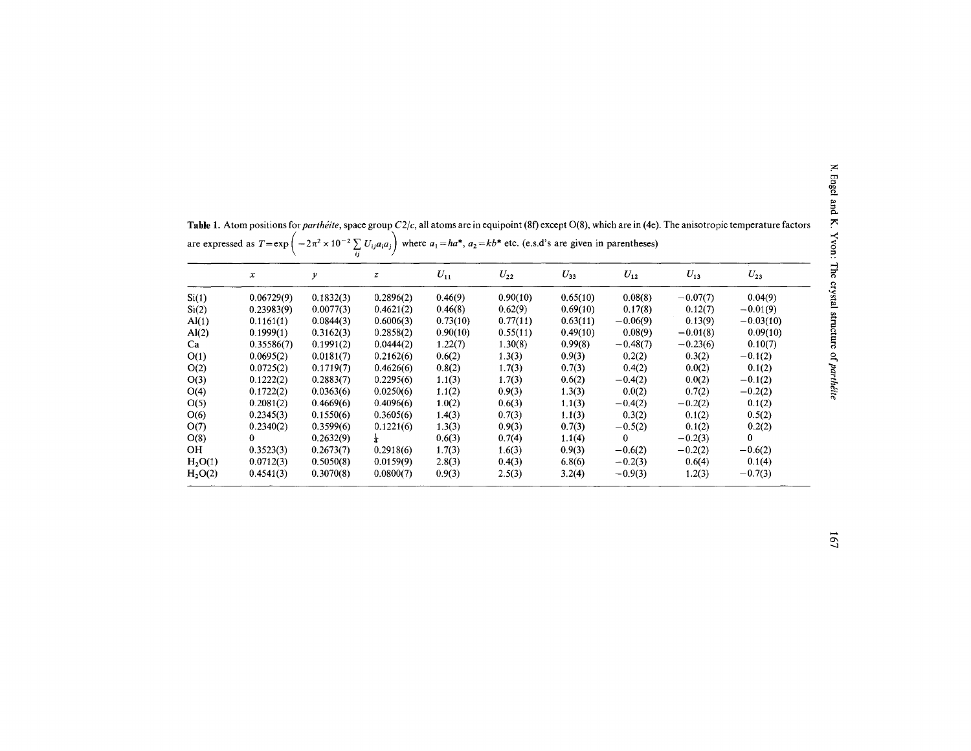|                     | $\boldsymbol{x}$ | у         | z         | $U_{11}$ | $U_{22}$ | $U_{33}$ | $U_{12}$   | $U_{13}$   | $U_{23}$     |
|---------------------|------------------|-----------|-----------|----------|----------|----------|------------|------------|--------------|
| Si(1)               | 0.06729(9)       | 0.1832(3) | 0.2896(2) | 0.46(9)  | 0.90(10) | 0.65(10) | 0.08(8)    | $-0.07(7)$ | 0.04(9)      |
| Si(2)               | 0.23983(9)       | 0.0077(3) | 0.4621(2) | 0.46(8)  | 0.62(9)  | 0.69(10) | 0.17(8)    | 0.12(7)    | $-0.01(9)$   |
| $\mathrm{Al}(1)$    | 0.1161(1)        | 0.0844(3) | 0.6006(3) | 0.73(10) | 0.77(11) | 0.63(11) | $-0.06(9)$ | 0.13(9)    | $-0.03(10)$  |
| AI(2)               | 0.1999(1)        | 0.3162(3) | 0.2858(2) | 0.90(10) | 0.55(11) | 0.49(10) | 0.08(9)    | $-0.01(8)$ | 0.09(10)     |
| Ca                  | 0.35586(7)       | 0.1991(2) | 0.0444(2) | 1.22(7)  | 1.30(8)  | 0.99(8)  | $-0.48(7)$ | $-0.23(6)$ | 0.10(7)      |
| O(1)                | 0.0695(2)        | 0.0181(7) | 0.2162(6) | 0.6(2)   | 1.3(3)   | 0.9(3)   | 0.2(2)     | 0.3(2)     | $-0.1(2)$    |
| O(2)                | 0.0725(2)        | 0.1719(7) | 0.4626(6) | 0.8(2)   | 1.7(3)   | 0.7(3)   | 0.4(2)     | 0.0(2)     | 0.1(2)       |
| O(3)                | 0.1222(2)        | 0.2883(7) | 0.2295(6) | 1.1(3)   | 1.7(3)   | 0.6(2)   | $-0.4(2)$  | 0.0(2)     | $-0.1(2)$    |
| O(4)                | 0.1722(2)        | 0.0363(6) | 0.0250(6) | 1.1(2)   | 0.9(3)   | 1.3(3)   | 0.0(2)     | 0.7(2)     | $-0.2(2)$    |
| O(5)                | 0.2081(2)        | 0.4669(6) | 0.4096(6) | 1.0(2)   | 0.6(3)   | 1.1(3)   | $-0.4(2)$  | $-0.2(2)$  | 0.1(2)       |
| O(6)                | 0.2345(3)        | 0.1550(6) | 0.3605(6) | 1.4(3)   | 0.7(3)   | 1.1(3)   | 0.3(2)     | 0.1(2)     | 0.5(2)       |
| O(7)                | 0.2340(2)        | 0.3599(6) | 0.1221(6) | 1.3(3)   | 0.9(3)   | 0.7(3)   | $-0.5(2)$  | 0.1(2)     | 0.2(2)       |
| O(8)                | 0                | 0.2632(9) |           | 0.6(3)   | 0.7(4)   | 1.1(4)   | 0          | $-0.2(3)$  | $\mathbf{0}$ |
| OH.                 | 0.3523(3)        | 0.2673(7) | 0.2918(6) | 1.7(3)   | 1.6(3)   | 0.9(3)   | $-0.6(2)$  | $-0.2(2)$  | $-0.6(2)$    |
| H <sub>2</sub> O(1) | 0.0712(3)        | 0.5050(8) | 0.0159(9) | 2.8(3)   | 0.4(3)   | 6.8(6)   | $-0.2(3)$  | 0.6(4)     | 0.1(4)       |
| H <sub>2</sub> O(2) | 0.4541(3)        | 0.3070(8) | 0.0800(7) | 0.9(3)   | 2.5(3)   | 3.2(4)   | $-0.9(3)$  | 1.2(3)     | $-0.7(3)$    |

Table 1. Atom positions for *parthéite*, space group C2/c, all atoms are in equipoint (8f) except O(8), which are in (4e). The anisotropic temperature factor<br>are expressed as  $T = \exp\left(-2\pi^2 \times 10^{-2} \sum_{ij} U_{ij} a_i a_j\right)$  where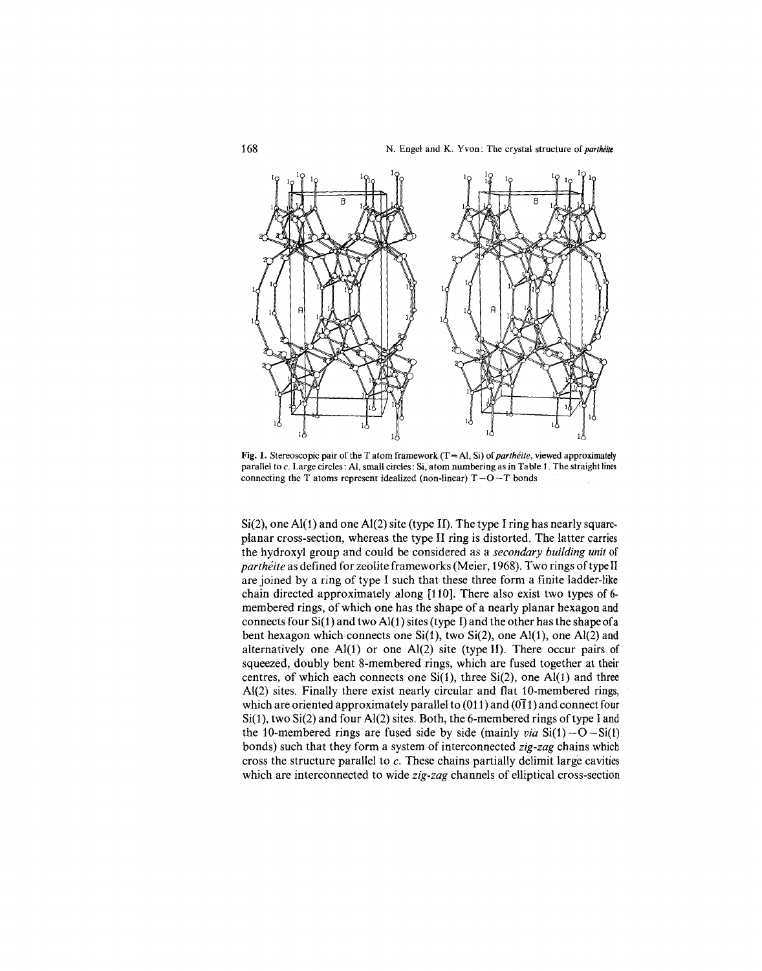

Fig. 1. Stereoscopic pair of the T atom framework (T = Al, Si) of *partheite*, viewed approximate parallel to c. Large circles: AI, small circles: Si, atom numbering as in Table 1. The straight lines connecting the T atoms represent idealized (non-linear)  $T - O - T$  bonds

 $Si(2)$ , one Al(1) and one Al(2) site (type II). The type I ring has nearly squareplanar cross-section, whereas the type II ring is distorted. The latter carries the hydroxyl group and could be considered as a *secondary building unit* of *partheite* as defined for zeolite frameworks (Meier, 1968). Two rings of type II are joined by a ring of type I such that these three form a finite ladder-like chain directed approximately along [110]. There also exist two types of 6 membered rings, of which one has the shape of a nearly planar hexagon and connects four  $Si(1)$  and two Al(1) sites (type I) and the other has the shape of a bent hexagon which connects one  $Si(1)$ , two  $Si(2)$ , one  $Al(1)$ , one  $Al(2)$  and alternatively one AI(1) or one Al(2) site (type II). There occur pairs of squeezed, doubly bent 8-membered rings, which are fused together at their centres, of which each connects one  $Si(1)$ , three  $Si(2)$ , one  $Al(1)$  and three AI(2) sites. Finally there exist nearly circular and flat 10-membered rings, which are oriented approximately parallel to  $(011)$  and  $(011)$  and connect four Si(1), two Si(2) and four AI(2) sites. Both, the 6-membered rings of type I and the 10-membered rings are fused side by side (mainly *via*  $Si(1) - O - Si(1)$ bonds) such that they form a system of interconnected *zig-zag* chains which cross the structure parallel to *c.* These chains partially delimit large cavities which are interconnected to wide *zig-zag* channels of elliptical cross-section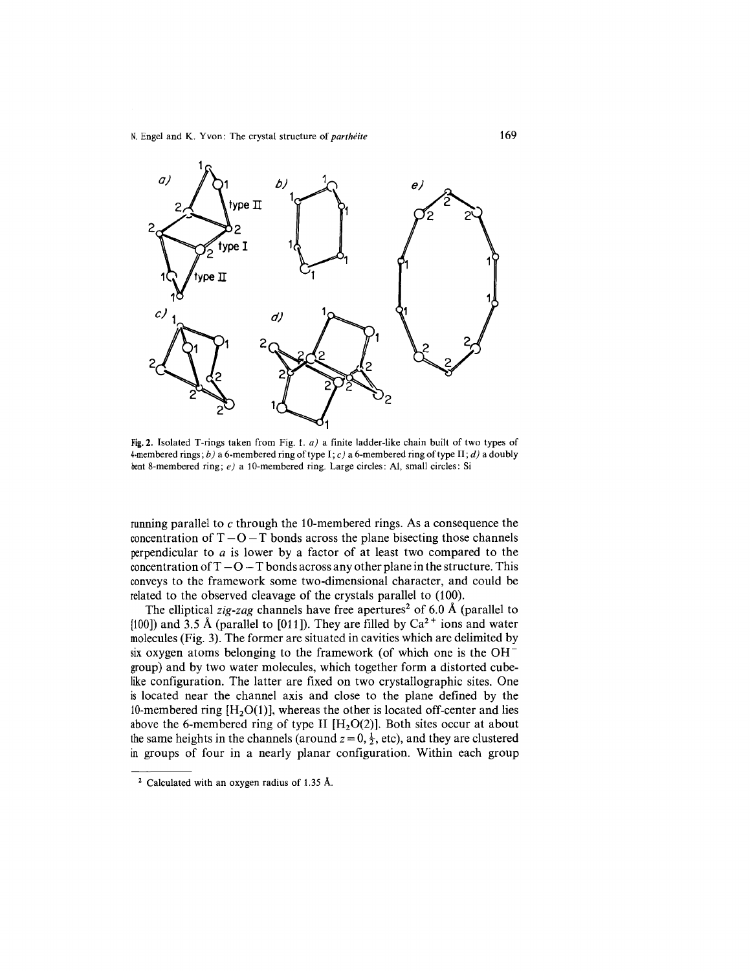

Fig.2. Isolated T-rings taken from Fig. I. *a)* a finite ladder-like chain built of two types of 4-membered rings; *b)* a 6-membered ring of type I; c) a 6-membered ring of type II; *d)* a doubly bent8-membered ring; *e)* a 10-membered ring. Large circles: AI, small circles: Si

running parallel to  $c$  through the 10-membered rings. As a consequence the concentration of  $T - O - T$  bonds across the plane bisecting those channels perpendicular to *a* is lower by a factor of at least two compared to the concentration of  $T - O - T$  bonds across any other plane in the structure. This conveys to the framework some two-dimensional character, and could be related to the observed cleavage of the crystals parallel to (100).

The elliptical *zig-zag* channels have free apertures<sup>2</sup> of 6.0 Å (parallel to [100]) and 3.5 Å (parallel to [011]). They are filled by  $Ca^{2+}$  ions and water molecules (Fig. 3). The former are situated in cavities which are delimited by six oxygen atoms belonging to the framework (of which one is the  $OH^$ group) and by two water molecules, which together form a distorted cubelike configuration. The latter are fixed on two crystallographic sites. One is located near the channel axis and close to the plane defined by the 10-membered ring  $[H<sub>2</sub>O(1)]$ , whereas the other is located off-center and lies above the 6-membered ring of type II  $[H<sub>2</sub>O(2)]$ . Both sites occur at about the same heights in the channels (around  $z=0, \frac{1}{2}$ , etc), and they are clustered in groups of four in a nearly planar configuration. Within each group

<sup>2</sup> Calculated with an oxygen radius of 1.35 A.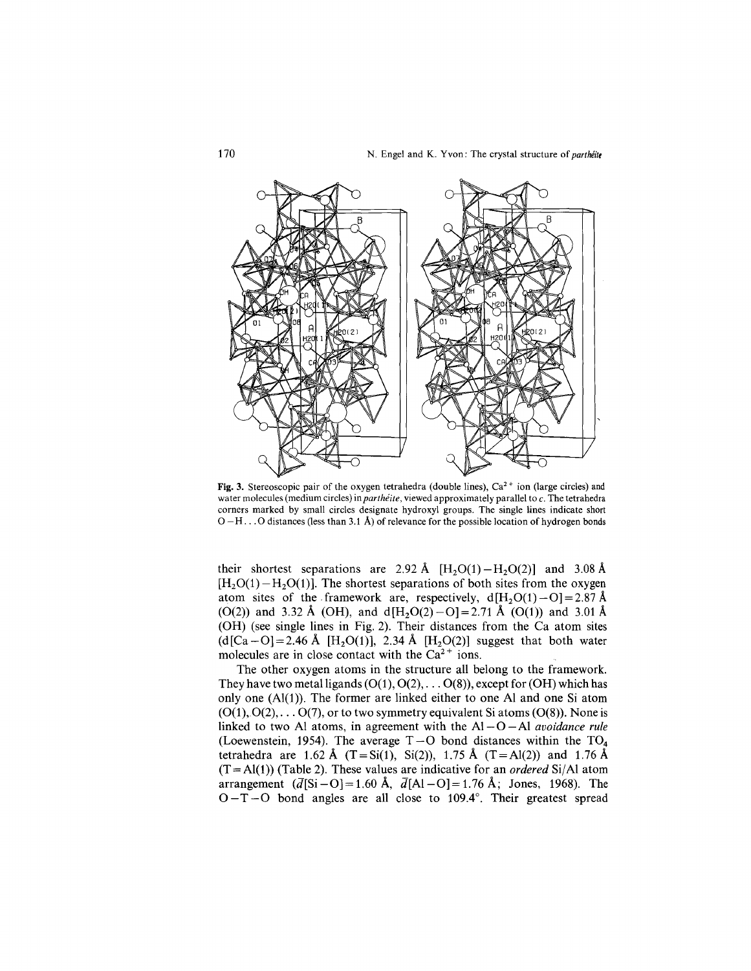

Fig. 3. Stereoscopic pair of the oxygen tetrahedra (double lines),  $Ca^{2+}$  ion (large circles) and water molecules (medium circles) in *parthéite*, viewed approximately parallel to c. The tetrahedra corners marked by small circles designate hydroxyl groups. The single lines indicate short  $O-H$ ... O distances (less than 3.1 Å) of relevance for the possible location of hydrogen bonds

their shortest separations are 2.92 Å  $[H_2O(1) - H_2O(2)]$  and 3.08 Å  $[H<sub>2</sub>O(1)-H<sub>2</sub>O(1)]$ . The shortest separations of both sites from the oxygen atom sites of the framework are, respectively,  $d[H_2O(1)-O]=2.87 \text{ Å}$ (O(2)) and 3.32 Å (OH), and  $d[H<sub>2</sub>O(2)-O]=2.71$  Å (O(1)) and 3.01 Å (OH) (see single lines in Fig. 2). Their distances from the Ca atom sites  $(d[Ca-O]=2.46$  Å  $[H<sub>2</sub>O(1)]$ , 2.34 Å  $[H<sub>2</sub>O(2)]$  suggest that both water molecules are in close contact with the  $Ca^{2+}$  ions.

The other oxygen atoms in the structure all belong to the framework. They have two metalligands  $(O(1), O(2), \ldots O(8))$ , except for  $(OH)$  which has only one  $(A1(1))$ . The former are linked either to one Al and one Si atom  $(O(1), O(2), \ldots, O(7))$ , or to two symmetry equivalent Si atoms  $(O(8))$ . None is linked to two Al atoms, in agreement with the  $AI-O-Al$  *avoidance rule* (Loewenstein, 1954). The average  $T - O$  bond distances within the  $TO<sub>4</sub>$ tetrahedra are 1.62 Å  $(T = Si(1), Si(2))$ , 1.75 Å  $(T = Al(2))$  and 1.76 Å  $(T = A(1))$  (Table 2). These values are indicative for an *ordered* Si/Al atom arrangement  $(\overline{d}[\text{Si}-O] = 1.60 \text{ Å}, \overline{d}[\text{Al}-O] = 1.76 \text{ Å}; \text{Jones}, 1968).$  The  $O-T-O$  bond angles are all close to 109.4°. Their greatest spread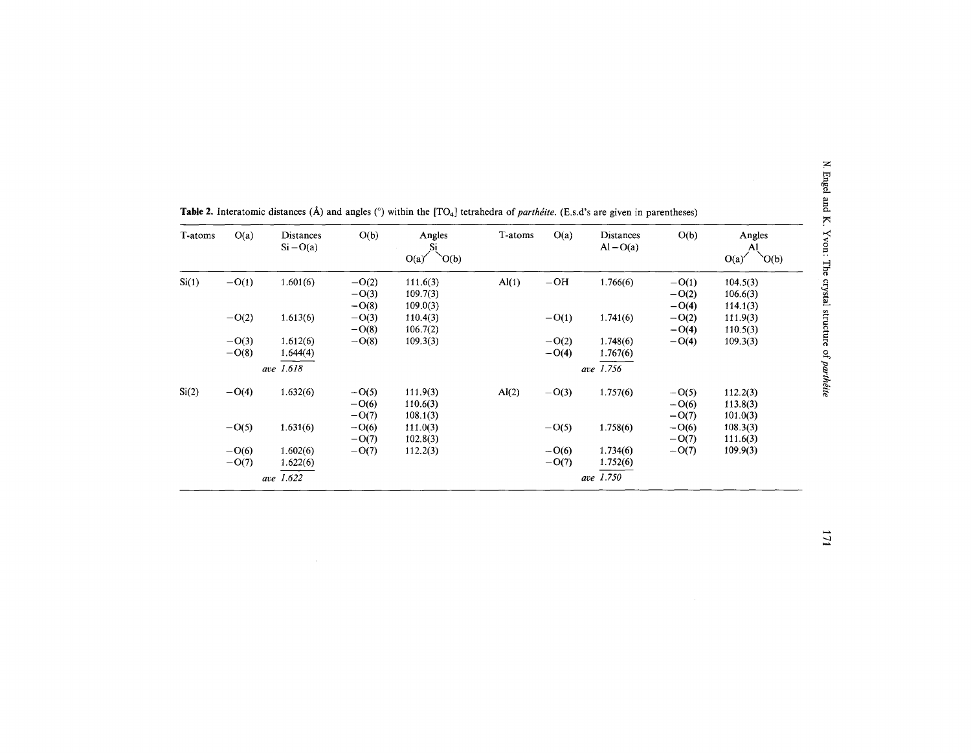| T-atoms | O(a)    | <b>Distances</b><br>$Si-O(a)$ | O(b)    | Angles<br>Si<br>'O(b)<br>O(a) | T-atoms        | O(a)    | Distances<br>$Al-O(a)$ | O(b)    | Angles<br>Al<br>'O(b)<br>O(a) |
|---------|---------|-------------------------------|---------|-------------------------------|----------------|---------|------------------------|---------|-------------------------------|
| Si(1)   | $-O(1)$ | 1.601(6)                      | $-O(2)$ | 111.6(3)                      | AI(1)          | $-OH$   | 1.766(6)               | $-O(1)$ | 104.5(3)                      |
|         |         |                               | $-O(3)$ | 109.7(3)                      |                |         |                        | $-O(2)$ | 106.6(3)                      |
|         |         |                               | $-O(8)$ | 109.0(3)                      |                |         |                        | $-O(4)$ | 114.1(3)                      |
|         | $-O(2)$ | 1.613(6)                      | $-O(3)$ | 110.4(3)                      |                | $-O(1)$ | 1.741(6)               | $-O(2)$ | 111.9(3)                      |
|         |         |                               | $-O(8)$ | 106.7(2)                      |                |         |                        | $-O(4)$ | 110.5(3)                      |
|         | $-O(3)$ | 1.612(6)                      | $-O(8)$ | 109.3(3)                      |                | $-O(2)$ | 1.748(6)               | $-O(4)$ | 109.3(3)                      |
|         | $-O(8)$ | 1.644(4)                      |         |                               |                | $-O(4)$ | 1.767(6)               |         |                               |
|         |         | ave 1.618                     |         |                               |                |         | ave 1.756              |         |                               |
| Si(2)   | $-O(4)$ | 1.632(6)                      | $-O(5)$ | 111.9(3)                      | $\text{Al}(2)$ | $-O(3)$ | 1.757(6)               | $-O(5)$ | 112.2(3)                      |
|         |         |                               | $-O(6)$ | 110.6(3)                      |                |         |                        | $-O(6)$ | 113.8(3)                      |
|         |         |                               | $-O(7)$ | 108.1(3)                      |                |         |                        | $-O(7)$ | 101.0(3)                      |
|         | $-O(5)$ | 1.631(6)                      | $-O(6)$ | 111.0(3)                      |                | $-O(5)$ | 1.758(6)               | $-O(6)$ | 108.3(3)                      |
|         |         |                               | $-O(7)$ | 102.8(3)                      |                |         |                        | $-O(7)$ | 111.6(3)                      |
|         | $-O(6)$ | 1.602(6)                      | $-O(7)$ | 112.2(3)                      |                | $-O(6)$ | 1.734(6)               | $-O(7)$ | 109.9(3)                      |
|         | $-O(7)$ | 1.622(6)                      |         |                               |                | $-O(7)$ | 1.752(6)               |         |                               |
|         |         | ave 1.622                     |         |                               |                |         | ave 1.750              |         |                               |

Table 2. Interatomic distances (Å) and angles ( $\degree$ ) within the [TO<sub>4</sub>] tetrahedra of *parthetie*. (E.s.d's are given in parentheses)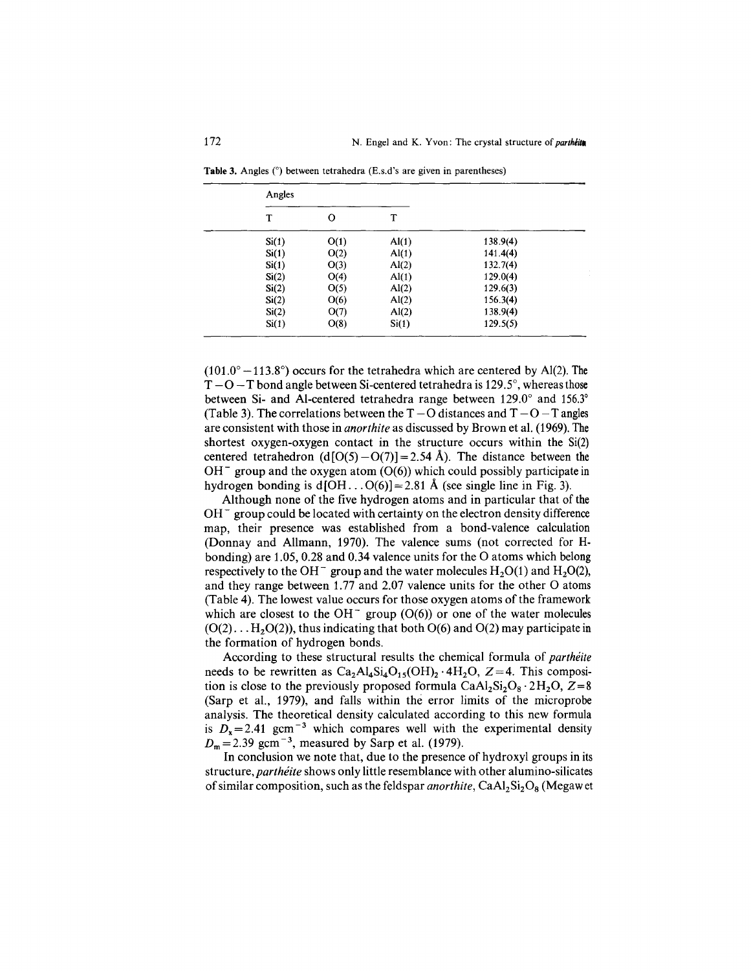| Angles |      |                  |          |  |
|--------|------|------------------|----------|--|
| T      | о    | T                |          |  |
| Si(1)  | O(1) | $\text{Al}(1)$   | 138.9(4) |  |
| Si(1)  | O(2) | $\mathrm{Al}(1)$ | 141.4(4) |  |
| Si(1)  | O(3) | Al(2)            | 132.7(4) |  |
| Si(2)  | O(4) | $\mathrm{Al}(1)$ | 129.0(4) |  |
| Si(2)  | O(5) | Al(2)            | 129.6(3) |  |
| Si(2)  | O(6) | $\text{Al}(2)$   | 156.3(4) |  |
| Si(2)  | O(7) | Al(2)            | 138.9(4) |  |
| Si(1)  | O(8) | Si(1)            | 129.5(5) |  |

Table 3. Angles  $(°)$  between tetrahedra (E.s.d's are given in parentheses)

 $(101.0^{\circ} - 113.8^{\circ})$  occurs for the tetrahedra which are centered by Al(2). The  $T - O - T$  bond angle between Si-centered tetrahedra is 129.5°, whereas those between Si- and AI-centered tetrahedra range between 129.0° and 156.3° (Table 3). The correlations between the  $T - O$  distances and  $T - O - T$  angles are consistent with those in *anorthite* as discussed by Brown et aI. (1969). The shortest oxygen-oxygen contact in the structure occurs within the Si(2) centered tetrahedron  $(d[O(5) - O(7))] = 2.54$  Å). The distance between the  $OH^-$  group and the oxygen atom (O(6)) which could possibly participate in hydrogen bonding is  $d[OH \dots O(6)] = 2.81$  Å (see single line in Fig. 3).

Although none of the five hydrogen atoms and in particular that of the  $OH^-$  group could be located with certainty on the electron density difference map, their presence was established from a bond-valence calculation (Donnay and Allmann, 1970). The valence sums (not corrected for Hbonding) are 1.05, 0.28 and 0.34 valence units for the 0 atoms which belong respectively to the OH<sup>-</sup> group and the water molecules  $H_2O(1)$  and  $H_2O(2)$ , and they range between 1.77 and 2.07 valence units for the other 0 atoms (Table 4). The lowest value occurs for those oxygen atoms of the framework which are closest to the  $OH^-$  group (O(6)) or one of the water molecules  $(O(2) \ldots H<sub>2</sub>O(2))$ , thus indicating that both  $O(6)$  and  $O(2)$  may participate in the formation of hydrogen bonds.

According to these structural results the chemical formula of *parthéite* needs to be rewritten as  $Ca<sub>2</sub>Al<sub>4</sub>Si<sub>4</sub>O<sub>15</sub>(OH)<sub>2</sub> · 4H<sub>2</sub>O, Z=4.$  This composition is close to the previously proposed formula  $CaAl<sub>2</sub>Si<sub>2</sub>O<sub>8</sub> \cdot 2H<sub>2</sub>O$ ,  $Z=8$ (Sarp et aI., 1979), and falls within the error limits of the microprobe analysis. The theoretical density calculated according to this new formula is  $D_x = 2.41$  gcm<sup>-3</sup> which compares well with the experimental density  $D_m$  = 2.39 gcm<sup>-3</sup>, measured by Sarp et al. (1979).

In conclusion we note that, due to the presence of hydroxyl groups in its structure, *parthéite* shows only little resemblance with other alumino-silicates of similar composition, such as the feldspar *anorthite*, CaAl<sub>2</sub>Si<sub>2</sub>O<sub>8</sub> (Megaw et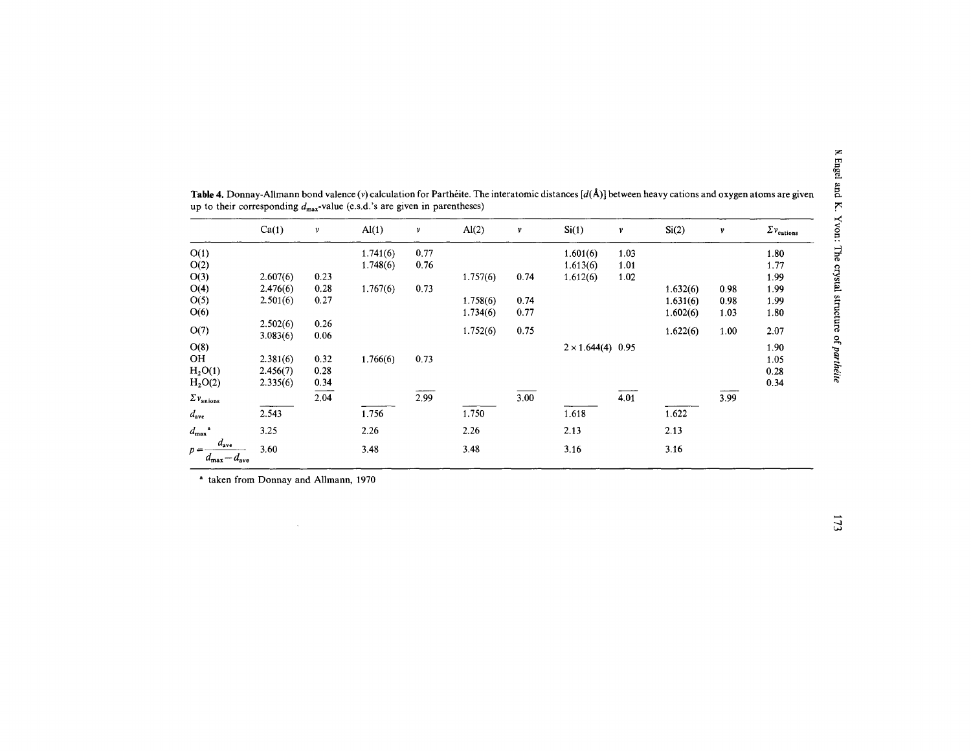|                                                                | Ca(1)                | $\mathbf{v}$ | Al(1)    | ν    | Al(2)    | v    | Si(1)                    | ν    | Si(2)    | v    | $\Sigma v_{\rm cations}$ |
|----------------------------------------------------------------|----------------------|--------------|----------|------|----------|------|--------------------------|------|----------|------|--------------------------|
| O(1)                                                           |                      |              | 1.741(6) | 0.77 |          |      | 1.601(6)                 | 1.03 |          |      | 1.80                     |
| O(2)                                                           |                      |              | 1.748(6) | 0.76 |          |      | 1.613(6)                 | 1.01 |          |      | 1.77                     |
| O(3)                                                           | 2.607(6)             | 0.23         |          |      | 1.757(6) | 0.74 | 1.612(6)                 | 1.02 |          |      | 1.99                     |
| O(4)                                                           | 2.476(6)             | 0.28         | 1.767(6) | 0.73 |          |      |                          |      | 1.632(6) | 0.98 | 1.99                     |
| O(5)                                                           | 2.501(6)             | 0.27         |          |      | 1.758(6) | 0.74 |                          |      | 1.631(6) | 0.98 | 1.99                     |
| O(6)                                                           |                      |              |          |      | 1.734(6) | 0.77 |                          |      | 1.602(6) | 1.03 | 1.80                     |
| O(7)                                                           | 2.502(6)<br>3.083(6) | 0.26<br>0.06 |          |      | 1.752(6) | 0.75 |                          |      | 1.622(6) | 1.00 | 2.07                     |
| O(8)                                                           |                      |              |          |      |          |      | $2 \times 1.644(4)$ 0.95 |      |          |      | 1.90                     |
| <b>OH</b>                                                      | 2.381(6)             | 0.32         | 1.766(6) | 0.73 |          |      |                          |      |          |      | 1.05                     |
| H <sub>2</sub> O(1)                                            | 2.456(7)             | 0.28         |          |      |          |      |                          |      |          |      | 0.28                     |
| H <sub>2</sub> O(2)                                            | 2.335(6)             | 0.34         |          |      |          |      |                          |      |          |      | 0.34                     |
| $\Sigma$ $v_{\rm anions}$                                      |                      | 2.04         |          | 2.99 |          | 3.00 |                          | 4.01 |          | 3.99 |                          |
| $d_{ave}$                                                      | 2.543                |              | 1.756    |      | 1.750    |      | 1.618                    |      | 1.622    |      |                          |
| $d_{\max}$                                                     | 3.25                 |              | 2.26     |      | 2.26     |      | 2.13                     |      | 2.13     |      |                          |
| $d_{\text{ave}}$<br>$p =$<br>$a_{\text{max}} - a_{\text{ave}}$ | 3.60                 |              | 3.48     |      | 3.48     |      | 3.16                     |      | 3.16     |      |                          |

Table 4. Donnay-Allmann bond valence (v) calculation for Parthéite. The interatomic distances [ $d(A)$ ] between heavy cations and oxygen atoms are given<br>up to their corresponding  $d_{\text{max}}$ -value (e.s.d.'s are given in paren

<sup>a</sup> taken from Donnay and Allmann, 1970

 $\sim$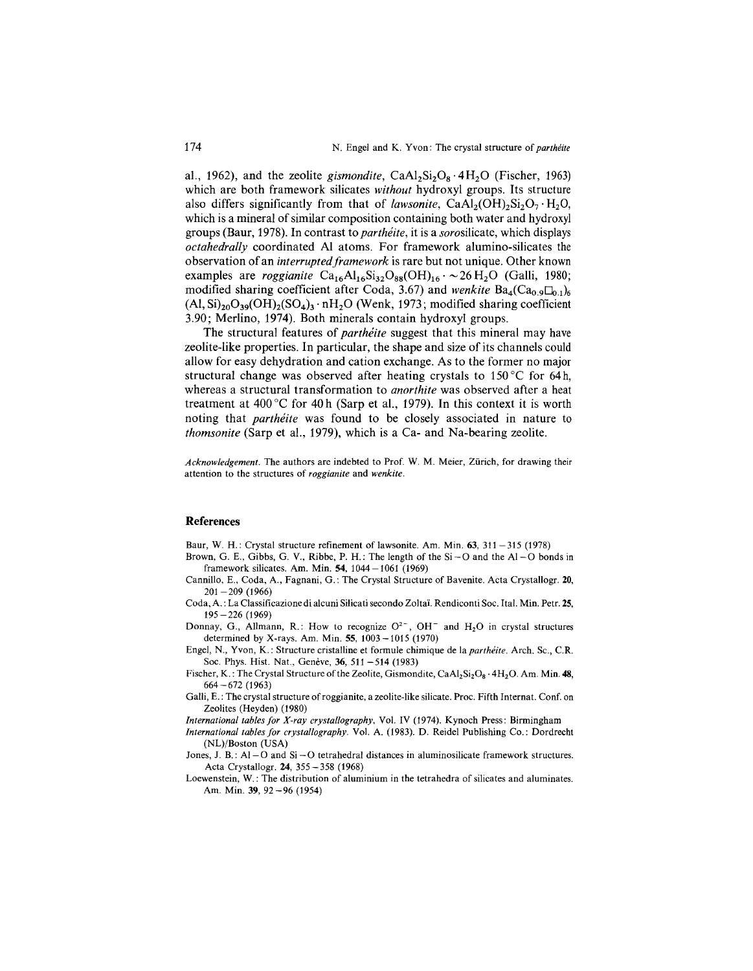al., 1962), and the zeolite *gismondite*,  $CaAl_2Si_2O_8 \cdot 4H_2O$  (Fischer, 1963) which are both framework silicates *without* hydroxyl groups. Its structure also differs significantly from that of *lawsonite*,  $CaAl<sub>2</sub>(OH)<sub>2</sub>Si<sub>2</sub>O<sub>7</sub>·H<sub>2</sub>O$ , which is a mineral of similar composition containing both water and hydroxyl groups (Baur, 1978). In contrast to *partheite,* it is a *sorosilicate,* which displays *octahedrally* coordinated Al atoms. For framework alumino-silicates the observation of an *interruptedframework* is rare but not unique. Other known examples are *roggianite*  $Ca_{16}Al_{16}Si_{32}O_{88}(OH)_{16} \cdot \sim 26 \text{ H}_2\text{O}$  (Galli, 1980; modified sharing coefficient after Coda, 3.67) and *wenkite*  $Ba_4(Ca_{0.9}\Box_{0.1})_6$  $(AI, Si)_{20}O_{39}(OH)_{2}(SO_{4})$ , nH<sub>2</sub>O (Wenk, 1973; modified sharing coefficient 3.90; Merlino, 1974). Both minerals contain hydroxyl groups.

The structural features of *partheite* suggest that this mineral may have zeolite-like properties. In particular, the shape and size of its channels could allow for easy dehydration and cation exchange. As to the former no major structural change was observed after heating crystals to 150°C for 64h, whereas a structural transformation to *anorthite* was observed after a heat treatment at  $400^{\circ}$ C for  $40h$  (Sarp et al., 1979). In this context it is worth noting that *partheite* was found to be closely associated in nature to *thomsonite* (Sarp et aI., 1979), which is a Ca- and Na-bearing zeolite.

*Acknowledgement.* The authors are indebted to Prof. W. M. Meier, Zurich, for drawing their attention to the structures of *roggianite* and *wenkite.*

#### **References**

Baur, W. H.: Crystal structure refinement of lawsonite. Am. Min. 63, 311 – 315 (1978)

- Brown, G. E., Gibbs, G. V., Ribbe, P. H.: The length of the  $Si-O$  and the  $Al-O$  bonds in framework silicates. Am. Min. 54, *1044-1061 (1969)*
- Cannillo, E., Coda, A., Fagnani, G. : The Crystal Structure of Bavenite. Acta Crystallogr. 20, 201 - 209 (1966)
- Coda, A. : La Classificazione di alcuni Silicati secondo Zoltal. Rendiconti Soc. Ital. Min. Petr. 25,  $195 - 226$  (1969)
- Donnay, G., Allmann, R.: How to recognize  $O^{2-}$ , OH<sup>-</sup> and H<sub>2</sub>O in crystal structures determined by X-rays. Am. Min. 55,1003-1015 (1970)
- Engel, N., Yvon, K.: Structure cristalline et formule chimique de la *partheite.* Arch. Sc., C.R. Soc. Phys. Hist. Nat., Genève, 36, 511 - 514 (1983)
- Fischer, K.: The Crystal Structure of the Zeolite, Gismondite,  $CaAl<sub>2</sub>Si<sub>2</sub>O<sub>8</sub> \cdot 4H<sub>2</sub>O$ . Am. Min. 48, 664 -672 (1963)
- Galli, E.: The crystal structure of roggianite, a zeolite-like silicate. Proc. Fifth Internat. Conf. on Zeolites (Heyden) (1980)
- *International tables for X-ray crystallography,* Vol. IV (1974). Kynoch Press: Birmingham
- *International tables for crystallography.* Vol. A. (1983). D. Reidel Publishing Co.: Dordrecht (NL)/Boston (USA)
- Jones, J. B.: AI-O and Si -0 tetrahedral distances in aluminosilicate framework structures. Acta Crystallogr. 24, 355 -358 (1968)
- Loewenstein, W.: The distribution of aluminium in the tetrahedra of silicates and aluminates. Am. Min. 39, 92-96 (1954)